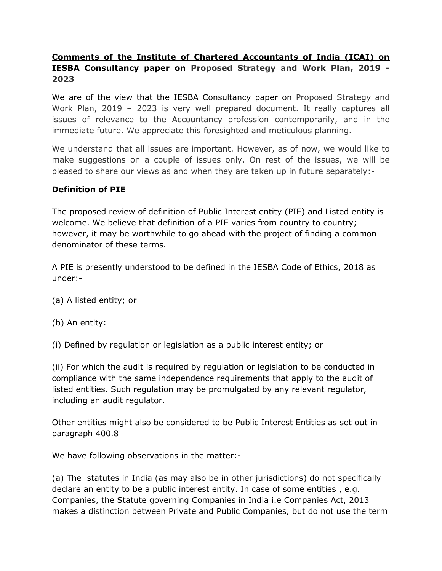#### **Comments of the Institute of Chartered Accountants of India (ICAI) on IESBA Consultancy paper on Proposed Strategy and Work Plan, 2019 - 2023**

We are of the view that the IESBA Consultancy paper on Proposed Strategy and Work Plan, 2019 – 2023 is very well prepared document. It really captures all issues of relevance to the Accountancy profession contemporarily, and in the immediate future. We appreciate this foresighted and meticulous planning.

We understand that all issues are important. However, as of now, we would like to make suggestions on a couple of issues only. On rest of the issues, we will be pleased to share our views as and when they are taken up in future separately:-

#### **Definition of PIE**

The proposed review of definition of Public Interest entity (PIE) and Listed entity is welcome. We believe that definition of a PIE varies from country to country; however, it may be worthwhile to go ahead with the project of finding a common denominator of these terms.

A PIE is presently understood to be defined in the IESBA Code of Ethics, 2018 as under:-

- (a) A listed entity; or
- (b) An entity:

(i) Defined by regulation or legislation as a public interest entity; or

(ii) For which the audit is required by regulation or legislation to be conducted in compliance with the same independence requirements that apply to the audit of listed entities. Such regulation may be promulgated by any relevant regulator, including an audit regulator.

Other entities might also be considered to be Public Interest Entities as set out in paragraph 400.8

We have following observations in the matter:-

(a) The statutes in India (as may also be in other jurisdictions) do not specifically declare an entity to be a public interest entity. In case of some entities , e.g. Companies, the Statute governing Companies in India i.e Companies Act, 2013 makes a distinction between Private and Public Companies, but do not use the term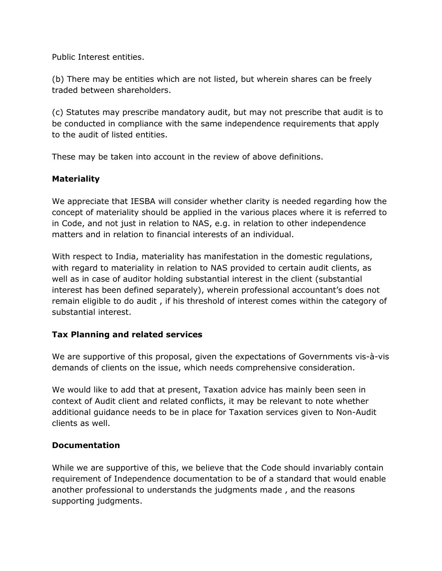Public Interest entities.

(b) There may be entities which are not listed, but wherein shares can be freely traded between shareholders.

(c) Statutes may prescribe mandatory audit, but may not prescribe that audit is to be conducted in compliance with the same independence requirements that apply to the audit of listed entities.

These may be taken into account in the review of above definitions.

#### **Materiality**

We appreciate that IESBA will consider whether clarity is needed regarding how the concept of materiality should be applied in the various places where it is referred to in Code, and not just in relation to NAS, e.g. in relation to other independence matters and in relation to financial interests of an individual.

With respect to India, materiality has manifestation in the domestic regulations, with regard to materiality in relation to NAS provided to certain audit clients, as well as in case of auditor holding substantial interest in the client (substantial interest has been defined separately), wherein professional accountant's does not remain eligible to do audit , if his threshold of interest comes within the category of substantial interest.

#### **Tax Planning and related services**

We are supportive of this proposal, given the expectations of Governments vis-à-vis demands of clients on the issue, which needs comprehensive consideration.

We would like to add that at present, Taxation advice has mainly been seen in context of Audit client and related conflicts, it may be relevant to note whether additional guidance needs to be in place for Taxation services given to Non-Audit clients as well.

#### **Documentation**

While we are supportive of this, we believe that the Code should invariably contain requirement of Independence documentation to be of a standard that would enable another professional to understands the judgments made , and the reasons supporting judgments.